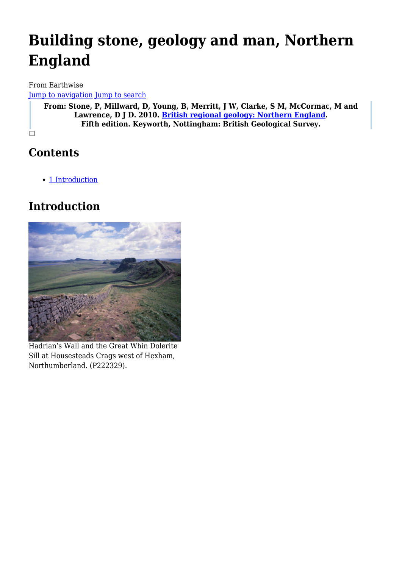# **Building stone, geology and man, Northern England**

From Earthwise [Jump to navigation](#page--1-0) [Jump to search](#page--1-0)

**From: Stone, P, Millward, D, Young, B, Merritt, J W, Clarke, S M, McCormac, M and Lawrence, D J D. 2010. [British regional geology: Northern England.](http://earthwise.bgs.ac.uk/index.php/British_regional_geology:_Northern_England) Fifth edition. Keyworth, Nottingham: British Geological Survey.**

 $\Box$ 

# **Contents**

• [1](#page--1-0) [Introduction](#page--1-0)

# **Introduction**



Hadrian's Wall and the Great Whin Dolerite Sill at Housesteads Crags west of Hexham, Northumberland. (P222329).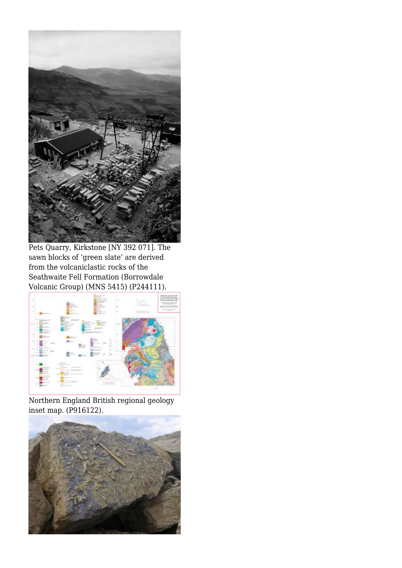

Pets Quarry, Kirkstone [NY 392 071]. The sawn blocks of 'green slate' are derived from the volcaniclastic rocks of the Seathwaite Fell Formation (Borrowdale Volcanic Group) (MNS 5415) (P244111).



Northern England British regional geology inset map. (P916122).

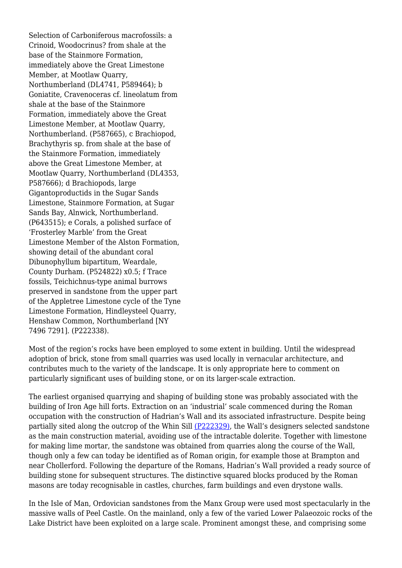Selection of Carboniferous macrofossils: a Crinoid, Woodocrinus? from shale at the base of the Stainmore Formation, immediately above the Great Limestone Member, at Mootlaw Quarry, Northumberland (DL4741, P589464); b Goniatite, Cravenoceras cf. lineolatum from shale at the base of the Stainmore Formation, immediately above the Great Limestone Member, at Mootlaw Quarry, Northumberland. (P587665), c Brachiopod, Brachythyris sp. from shale at the base of the Stainmore Formation, immediately above the Great Limestone Member, at Mootlaw Quarry, Northumberland (DL4353, P587666); d Brachiopods, large Gigantoproductids in the Sugar Sands Limestone, Stainmore Formation, at Sugar Sands Bay, Alnwick, Northumberland. (P643515); e Corals, a polished surface of 'Frosterley Marble' from the Great Limestone Member of the Alston Formation, showing detail of the abundant coral Dibunophyllum bipartitum, Weardale, County Durham. (P524822) x0.5; f Trace fossils, Teichichnus-type animal burrows preserved in sandstone from the upper part of the Appletree Limestone cycle of the Tyne Limestone Formation, Hindleysteel Quarry, Henshaw Common, Northumberland [NY 7496 7291]. (P222338).

Most of the region's rocks have been employed to some extent in building. Until the widespread adoption of brick, stone from small quarries was used locally in vernacular architecture, and contributes much to the variety of the landscape. It is only appropriate here to comment on particularly significant uses of building stone, or on its larger-scale extraction.

The earliest organised quarrying and shaping of building stone was probably associated with the building of Iron Age hill forts. Extraction on an 'industrial' scale commenced during the Roman occupation with the construction of Hadrian's Wall and its associated infrastructure. Despite being partially sited along the outcrop of the Whin Sill [\(P222329\)](http://earthwise.bgs.ac.uk/images/a/a5/P222329.jpg), the Wall's designers selected sandstone as the main construction material, avoiding use of the intractable dolerite. Together with limestone for making lime mortar, the sandstone was obtained from quarries along the course of the Wall, though only a few can today be identified as of Roman origin, for example those at Brampton and near Chollerford. Following the departure of the Romans, Hadrian's Wall provided a ready source of building stone for subsequent structures. The distinctive squared blocks produced by the Roman masons are today recognisable in castles, churches, farm buildings and even drystone walls.

In the Isle of Man, Ordovician sandstones from the Manx Group were used most spectacularly in the massive walls of Peel Castle. On the mainland, only a few of the varied Lower Palaeozoic rocks of the Lake District have been exploited on a large scale. Prominent amongst these, and comprising some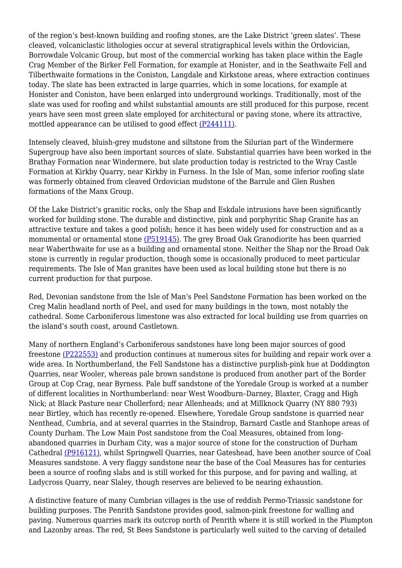of the region's best-known building and roofing stones, are the Lake District 'green slates'. These cleaved, volcaniclastic lithologies occur at several stratigraphical levels within the Ordovician, Borrowdale Volcanic Group, but most of the commercial working has taken place within the Eagle Crag Member of the Birker Fell Formation, for example at Honister, and in the Seathwaite Fell and Tilberthwaite formations in the Coniston, Langdale and Kirkstone areas, where extraction continues today. The slate has been extracted in large quarries, which in some locations, for example at Honister and Coniston, have been enlarged into underground workings. Traditionally, most of the slate was used for roofing and whilst substantial amounts are still produced for this purpose, recent years have seen most green slate employed for architectural or paving stone, where its attractive, mottled appearance can be utilised to good effect [\(P244111\)](http://earthwise.bgs.ac.uk/images/5/57/P244111.jpg).

Intensely cleaved, bluish-grey mudstone and siltstone from the Silurian part of the Windermere Supergroup have also been important sources of slate. Substantial quarries have been worked in the Brathay Formation near Windermere, but slate production today is restricted to the Wray Castle Formation at Kirkby Quarry, near Kirkby in Furness. In the Isle of Man, some inferior roofing slate was formerly obtained from cleaved Ordovician mudstone of the Barrule and Glen Rushen formations of the Manx Group.

Of the Lake District's granitic rocks, only the Shap and Eskdale intrusions have been significantly worked for building stone. The durable and distinctive, pink and porphyritic Shap Granite has an attractive texture and takes a good polish; hence it has been widely used for construction and as a monumental or ornamental stone [\(P519145\).](http://earthwise.bgs.ac.uk/images/1/12/P519145.jpg) The grey Broad Oak Granodiorite has been quarried near Waberthwaite for use as a building and ornamental stone. Neither the Shap nor the Broad Oak stone is currently in regular production, though some is occasionally produced to meet particular requirements. The Isle of Man granites have been used as local building stone but there is no current production for that purpose.

Red, Devonian sandstone from the Isle of Man's Peel Sandstone Formation has been worked on the Creg Malin headland north of Peel, and used for many buildings in the town, most notably the cathedral. Some Carboniferous limestone was also extracted for local building use from quarries on the island's south coast, around Castletown.

Many of northern England's Carboniferous sandstones have long been major sources of good freestone [\(P222553\)](http://earthwise.bgs.ac.uk/images/2/21/P222553.jpg) and production continues at numerous sites for building and repair work over a wide area. In Northumberland, the Fell Sandstone has a distinctive purplish-pink hue at Doddington Quarries, near Wooler, whereas pale brown sandstone is produced from another part of the Border Group at Cop Crag, near Byrness. Pale buff sandstone of the Yoredale Group is worked at a number of different localities in Northumberland: near West Woodburn–Darney, Blaxter, Cragg and High Nick; at Black Pasture near Chollerford; near Allenheads; and at Millknock Quarry (NY 880 793) near Birtley, which has recently re-opened. Elsewhere, Yoredale Group sandstone is quarried near Nenthead, Cumbria, and at several quarries in the Staindrop, Barnard Castle and Stanhope areas of County Durham. The Low Main Post sandstone from the Coal Measures, obtained from longabandoned quarries in Durham City, was a major source of stone for the construction of Durham Cathedral [\(P916121\),](http://earthwise.bgs.ac.uk/images/9/97/P916121.jpg) whilst Springwell Quarries, near Gateshead, have been another source of Coal Measures sandstone. A very flaggy sandstone near the base of the Coal Measures has for centuries been a source of roofing slabs and is still worked for this purpose, and for paving and walling, at Ladycross Quarry, near Slaley, though reserves are believed to be nearing exhaustion.

A distinctive feature of many Cumbrian villages is the use of reddish Permo-Triassic sandstone for building purposes. The Penrith Sandstone provides good, salmon-pink freestone for walling and paving. Numerous quarries mark its outcrop north of Penrith where it is still worked in the Plumpton and Lazonby areas. The red, St Bees Sandstone is particularly well suited to the carving of detailed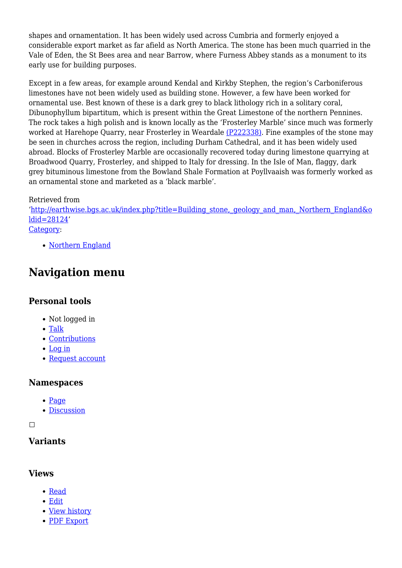shapes and ornamentation. It has been widely used across Cumbria and formerly enjoyed a considerable export market as far afield as North America. The stone has been much quarried in the Vale of Eden, the St Bees area and near Barrow, where Furness Abbey stands as a monument to its early use for building purposes.

Except in a few areas, for example around Kendal and Kirkby Stephen, the region's Carboniferous limestones have not been widely used as building stone. However, a few have been worked for ornamental use. Best known of these is a dark grey to black lithology rich in a solitary coral, Dibunophyllum bipartitum, which is present within the Great Limestone of the northern Pennines. The rock takes a high polish and is known locally as the 'Frosterley Marble' since much was formerly worked at Harehope Quarry, near Frosterley in Weardale [\(P222338\)](http://earthwise.bgs.ac.uk/images/9/98/P222338.jpg). Fine examples of the stone may be seen in churches across the region, including Durham Cathedral, and it has been widely used abroad. Blocks of Frosterley Marble are occasionally recovered today during limestone quarrying at Broadwood Quarry, Frosterley, and shipped to Italy for dressing. In the Isle of Man, flaggy, dark grey bituminous limestone from the Bowland Shale Formation at Poyllvaaish was formerly worked as an ornamental stone and marketed as a 'black marble'.

#### Retrieved from

'[http://earthwise.bgs.ac.uk/index.php?title=Building\\_stone,\\_geology\\_and\\_man,\\_Northern\\_England&o](http://earthwise.bgs.ac.uk/index.php?title=Building_stone,_geology_and_man,_Northern_England&oldid=28124) [ldid=28124](http://earthwise.bgs.ac.uk/index.php?title=Building_stone,_geology_and_man,_Northern_England&oldid=28124)' [Category](http://earthwise.bgs.ac.uk/index.php/Special:Categories):

• [Northern England](http://earthwise.bgs.ac.uk/index.php/Category:Northern_England)

# **Navigation menu**

## **Personal tools**

- Not logged in
- [Talk](http://earthwise.bgs.ac.uk/index.php/Special:MyTalk)
- [Contributions](http://earthwise.bgs.ac.uk/index.php/Special:MyContributions)
- [Log in](http://earthwise.bgs.ac.uk/index.php?title=Special:UserLogin&returnto=Building+stone%2C+geology+and+man%2C+Northern+England&returntoquery=action%3Dmpdf)
- [Request account](http://earthwise.bgs.ac.uk/index.php/Special:RequestAccount)

## **Namespaces**

- [Page](http://earthwise.bgs.ac.uk/index.php/Building_stone,_geology_and_man,_Northern_England)
- [Discussion](http://earthwise.bgs.ac.uk/index.php?title=Talk:Building_stone,_geology_and_man,_Northern_England&action=edit&redlink=1)

#### $\Box$

# **Variants**

## **Views**

- [Read](http://earthwise.bgs.ac.uk/index.php/Building_stone,_geology_and_man,_Northern_England)
- [Edit](http://earthwise.bgs.ac.uk/index.php?title=Building_stone,_geology_and_man,_Northern_England&action=edit)
- [View history](http://earthwise.bgs.ac.uk/index.php?title=Building_stone,_geology_and_man,_Northern_England&action=history)
- [PDF Export](http://earthwise.bgs.ac.uk/index.php?title=Building_stone,_geology_and_man,_Northern_England&action=mpdf)